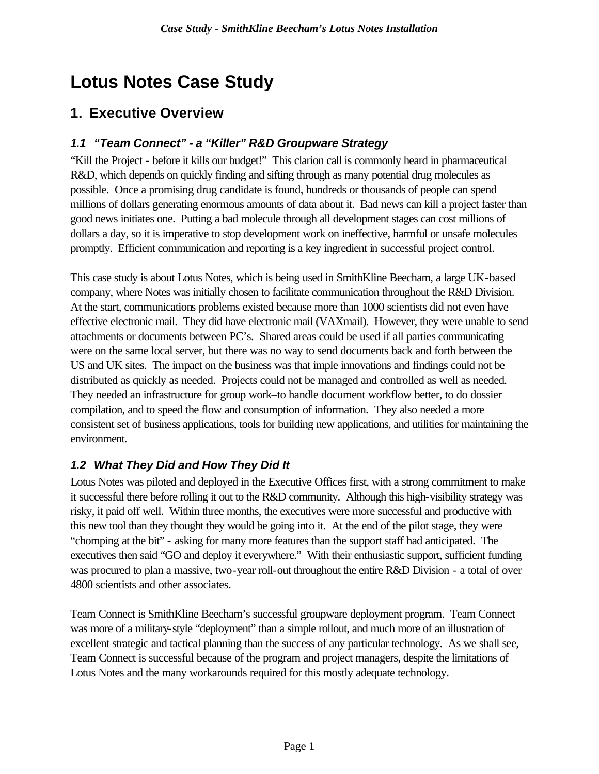# **Lotus Notes Case Study**

## **1. Executive Overview**

## *1.1 "Team Connect" - a "Killer" R&D Groupware Strategy*

"Kill the Project - before it kills our budget!" This clarion call is commonly heard in pharmaceutical R&D, which depends on quickly finding and sifting through as many potential drug molecules as possible. Once a promising drug candidate is found, hundreds or thousands of people can spend millions of dollars generating enormous amounts of data about it. Bad news can kill a project faster than good news initiates one. Putting a bad molecule through all development stages can cost millions of dollars a day, so it is imperative to stop development work on ineffective, harmful or unsafe molecules promptly. Efficient communication and reporting is a key ingredient in successful project control.

This case study is about Lotus Notes, which is being used in SmithKline Beecham, a large UK-based company, where Notes was initially chosen to facilitate communication throughout the R&D Division. At the start, communications problems existed because more than 1000 scientists did not even have effective electronic mail. They did have electronic mail (VAXmail). However, they were unable to send attachments or documents between PC's. Shared areas could be used if all parties communicating were on the same local server, but there was no way to send documents back and forth between the US and UK sites. The impact on the business was that imple innovations and findings could not be distributed as quickly as needed. Projects could not be managed and controlled as well as needed. They needed an infrastructure for group work–to handle document workflow better, to do dossier compilation, and to speed the flow and consumption of information. They also needed a more consistent set of business applications, tools for building new applications, and utilities for maintaining the environment.

## *1.2 What They Did and How They Did It*

Lotus Notes was piloted and deployed in the Executive Offices first, with a strong commitment to make it successful there before rolling it out to the R&D community. Although this high-visibility strategy was risky, it paid off well. Within three months, the executives were more successful and productive with this new tool than they thought they would be going into it. At the end of the pilot stage, they were "chomping at the bit" - asking for many more features than the support staff had anticipated. The executives then said "GO and deploy it everywhere." With their enthusiastic support, sufficient funding was procured to plan a massive, two-year roll-out throughout the entire R&D Division - a total of over 4800 scientists and other associates.

Team Connect is SmithKline Beecham's successful groupware deployment program. Team Connect was more of a military-style "deployment" than a simple rollout, and much more of an illustration of excellent strategic and tactical planning than the success of any particular technology. As we shall see, Team Connect is successful because of the program and project managers, despite the limitations of Lotus Notes and the many workarounds required for this mostly adequate technology.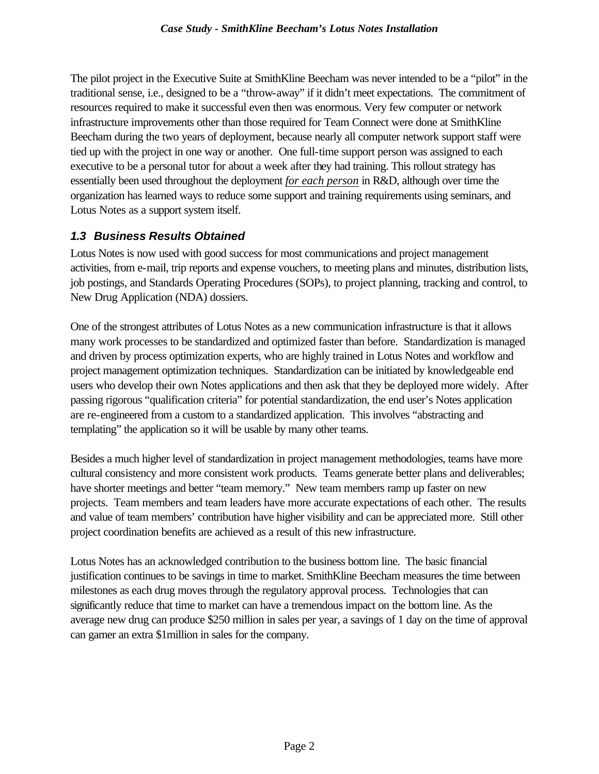The pilot project in the Executive Suite at SmithKline Beecham was never intended to be a "pilot" in the traditional sense, i.e., designed to be a "throw-away" if it didn't meet expectations. The commitment of resources required to make it successful even then was enormous. Very few computer or network infrastructure improvements other than those required for Team Connect were done at SmithKline Beecham during the two years of deployment, because nearly all computer network support staff were tied up with the project in one way or another. One full-time support person was assigned to each executive to be a personal tutor for about a week after they had training. This rollout strategy has essentially been used throughout the deployment *for each person* in R&D, although over time the organization has learned ways to reduce some support and training requirements using seminars, and Lotus Notes as a support system itself.

### *1.3 Business Results Obtained*

Lotus Notes is now used with good success for most communications and project management activities, from e-mail, trip reports and expense vouchers, to meeting plans and minutes, distribution lists, job postings, and Standards Operating Procedures (SOPs), to project planning, tracking and control, to New Drug Application (NDA) dossiers.

One of the strongest attributes of Lotus Notes as a new communication infrastructure is that it allows many work processes to be standardized and optimized faster than before. Standardization is managed and driven by process optimization experts, who are highly trained in Lotus Notes and workflow and project management optimization techniques. Standardization can be initiated by knowledgeable end users who develop their own Notes applications and then ask that they be deployed more widely. After passing rigorous "qualification criteria" for potential standardization, the end user's Notes application are re-engineered from a custom to a standardized application. This involves "abstracting and templating" the application so it will be usable by many other teams.

Besides a much higher level of standardization in project management methodologies, teams have more cultural consistency and more consistent work products. Teams generate better plans and deliverables; have shorter meetings and better "team memory." New team members ramp up faster on new projects. Team members and team leaders have more accurate expectations of each other. The results and value of team members' contribution have higher visibility and can be appreciated more. Still other project coordination benefits are achieved as a result of this new infrastructure.

Lotus Notes has an acknowledged contribution to the business bottom line. The basic financial justification continues to be savings in time to market. SmithKline Beecham measures the time between milestones as each drug moves through the regulatory approval process. Technologies that can significantly reduce that time to market can have a tremendous impact on the bottom line. As the average new drug can produce \$250 million in sales per year, a savings of 1 day on the time of approval can garner an extra \$1million in sales for the company.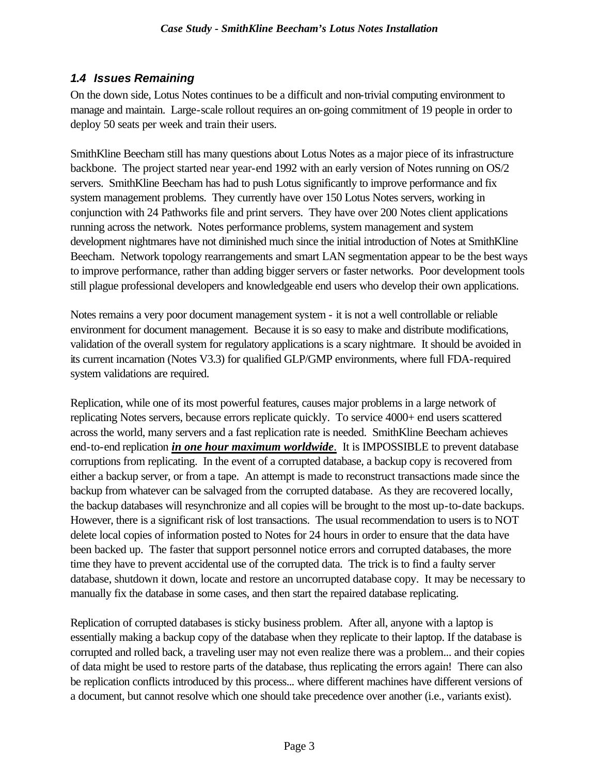### *1.4 Issues Remaining*

On the down side, Lotus Notes continues to be a difficult and non-trivial computing environment to manage and maintain. Large-scale rollout requires an on-going commitment of 19 people in order to deploy 50 seats per week and train their users.

SmithKline Beecham still has many questions about Lotus Notes as a major piece of its infrastructure backbone. The project started near year-end 1992 with an early version of Notes running on OS/2 servers. SmithKline Beecham has had to push Lotus significantly to improve performance and fix system management problems. They currently have over 150 Lotus Notes servers, working in conjunction with 24 Pathworks file and print servers. They have over 200 Notes client applications running across the network. Notes performance problems, system management and system development nightmares have not diminished much since the initial introduction of Notes at SmithKline Beecham. Network topology rearrangements and smart LAN segmentation appear to be the best ways to improve performance, rather than adding bigger servers or faster networks. Poor development tools still plague professional developers and knowledgeable end users who develop their own applications.

Notes remains a very poor document management system - it is not a well controllable or reliable environment for document management. Because it is so easy to make and distribute modifications, validation of the overall system for regulatory applications is a scary nightmare. It should be avoided in its current incarnation (Notes V3.3) for qualified GLP/GMP environments, where full FDA-required system validations are required.

Replication, while one of its most powerful features, causes major problems in a large network of replicating Notes servers, because errors replicate quickly. To service 4000+ end users scattered across the world, many servers and a fast replication rate is needed. SmithKline Beecham achieves end-to-end replication *in one hour maximum worldwide*. It is IMPOSSIBLE to prevent database corruptions from replicating. In the event of a corrupted database, a backup copy is recovered from either a backup server, or from a tape. An attempt is made to reconstruct transactions made since the backup from whatever can be salvaged from the corrupted database. As they are recovered locally, the backup databases will resynchronize and all copies will be brought to the most up-to-date backups. However, there is a significant risk of lost transactions. The usual recommendation to users is to NOT delete local copies of information posted to Notes for 24 hours in order to ensure that the data have been backed up. The faster that support personnel notice errors and corrupted databases, the more time they have to prevent accidental use of the corrupted data. The trick is to find a faulty server database, shutdown it down, locate and restore an uncorrupted database copy. It may be necessary to manually fix the database in some cases, and then start the repaired database replicating.

Replication of corrupted databases is sticky business problem. After all, anyone with a laptop is essentially making a backup copy of the database when they replicate to their laptop. If the database is corrupted and rolled back, a traveling user may not even realize there was a problem... and their copies of data might be used to restore parts of the database, thus replicating the errors again! There can also be replication conflicts introduced by this process... where different machines have different versions of a document, but cannot resolve which one should take precedence over another (i.e., variants exist).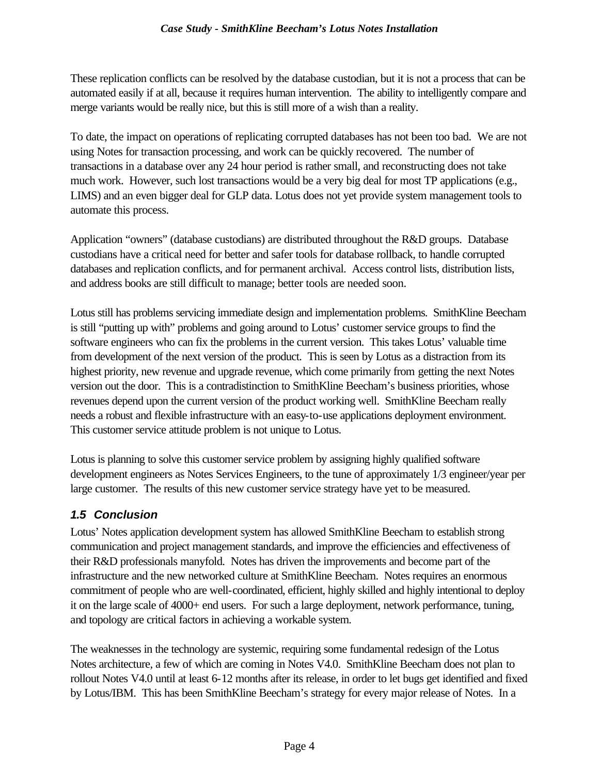These replication conflicts can be resolved by the database custodian, but it is not a process that can be automated easily if at all, because it requires human intervention. The ability to intelligently compare and merge variants would be really nice, but this is still more of a wish than a reality.

To date, the impact on operations of replicating corrupted databases has not been too bad. We are not using Notes for transaction processing, and work can be quickly recovered. The number of transactions in a database over any 24 hour period is rather small, and reconstructing does not take much work. However, such lost transactions would be a very big deal for most TP applications (e.g., LIMS) and an even bigger deal for GLP data. Lotus does not yet provide system management tools to automate this process.

Application "owners" (database custodians) are distributed throughout the R&D groups. Database custodians have a critical need for better and safer tools for database rollback, to handle corrupted databases and replication conflicts, and for permanent archival. Access control lists, distribution lists, and address books are still difficult to manage; better tools are needed soon.

Lotus still has problems servicing immediate design and implementation problems. SmithKline Beecham is still "putting up with" problems and going around to Lotus' customer service groups to find the software engineers who can fix the problems in the current version. This takes Lotus' valuable time from development of the next version of the product. This is seen by Lotus as a distraction from its highest priority, new revenue and upgrade revenue, which come primarily from getting the next Notes version out the door. This is a contradistinction to SmithKline Beecham's business priorities, whose revenues depend upon the current version of the product working well. SmithKline Beecham really needs a robust and flexible infrastructure with an easy-to-use applications deployment environment. This customer service attitude problem is not unique to Lotus.

Lotus is planning to solve this customer service problem by assigning highly qualified software development engineers as Notes Services Engineers, to the tune of approximately 1/3 engineer/year per large customer. The results of this new customer service strategy have yet to be measured.

## *1.5 Conclusion*

Lotus' Notes application development system has allowed SmithKline Beecham to establish strong communication and project management standards, and improve the efficiencies and effectiveness of their R&D professionals manyfold. Notes has driven the improvements and become part of the infrastructure and the new networked culture at SmithKline Beecham. Notes requires an enormous commitment of people who are well-coordinated, efficient, highly skilled and highly intentional to deploy it on the large scale of 4000+ end users. For such a large deployment, network performance, tuning, and topology are critical factors in achieving a workable system.

The weaknesses in the technology are systemic, requiring some fundamental redesign of the Lotus Notes architecture, a few of which are coming in Notes V4.0. SmithKline Beecham does not plan to rollout Notes V4.0 until at least 6-12 months after its release, in order to let bugs get identified and fixed by Lotus/IBM. This has been SmithKline Beecham's strategy for every major release of Notes. In a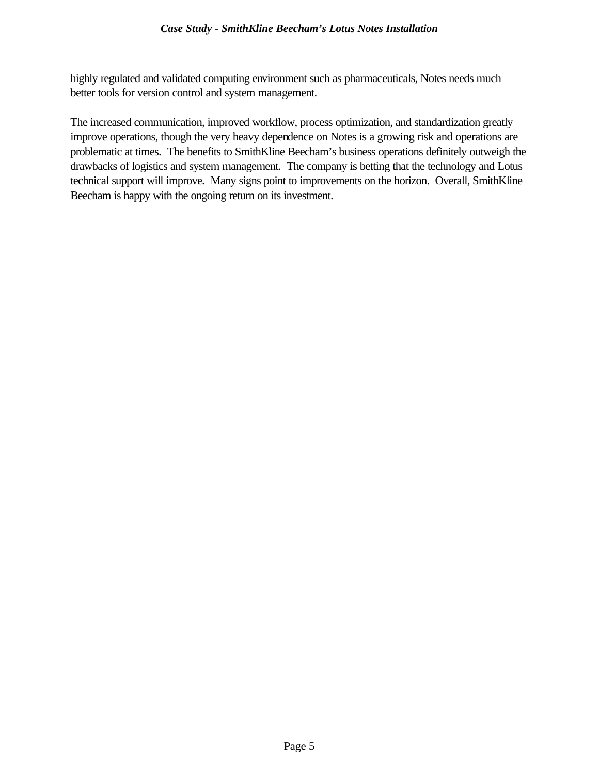highly regulated and validated computing environment such as pharmaceuticals, Notes needs much better tools for version control and system management.

The increased communication, improved workflow, process optimization, and standardization greatly improve operations, though the very heavy dependence on Notes is a growing risk and operations are problematic at times. The benefits to SmithKline Beecham's business operations definitely outweigh the drawbacks of logistics and system management. The company is betting that the technology and Lotus technical support will improve. Many signs point to improvements on the horizon. Overall, SmithKline Beecham is happy with the ongoing return on its investment.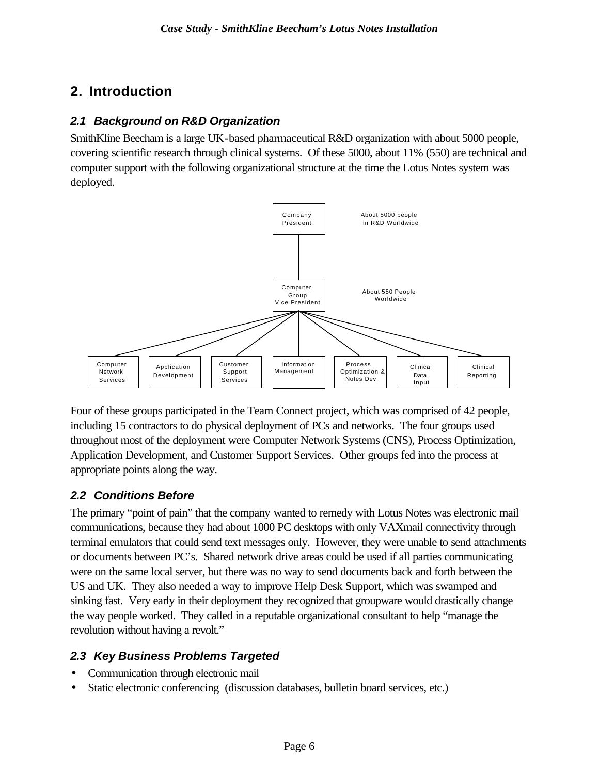## **2. Introduction**

#### *2.1 Background on R&D Organization*

SmithKline Beecham is a large UK-based pharmaceutical R&D organization with about 5000 people, covering scientific research through clinical systems. Of these 5000, about 11% (550) are technical and computer support with the following organizational structure at the time the Lotus Notes system was deployed.



Four of these groups participated in the Team Connect project, which was comprised of 42 people, including 15 contractors to do physical deployment of PCs and networks. The four groups used throughout most of the deployment were Computer Network Systems (CNS), Process Optimization, Application Development, and Customer Support Services. Other groups fed into the process at appropriate points along the way.

### *2.2 Conditions Before*

The primary "point of pain" that the company wanted to remedy with Lotus Notes was electronic mail communications, because they had about 1000 PC desktops with only VAXmail connectivity through terminal emulators that could send text messages only. However, they were unable to send attachments or documents between PC's. Shared network drive areas could be used if all parties communicating were on the same local server, but there was no way to send documents back and forth between the US and UK. They also needed a way to improve Help Desk Support, which was swamped and sinking fast. Very early in their deployment they recognized that groupware would drastically change the way people worked. They called in a reputable organizational consultant to help "manage the revolution without having a revolt."

## *2.3 Key Business Problems Targeted*

- Communication through electronic mail
- Static electronic conferencing (discussion databases, bulletin board services, etc.)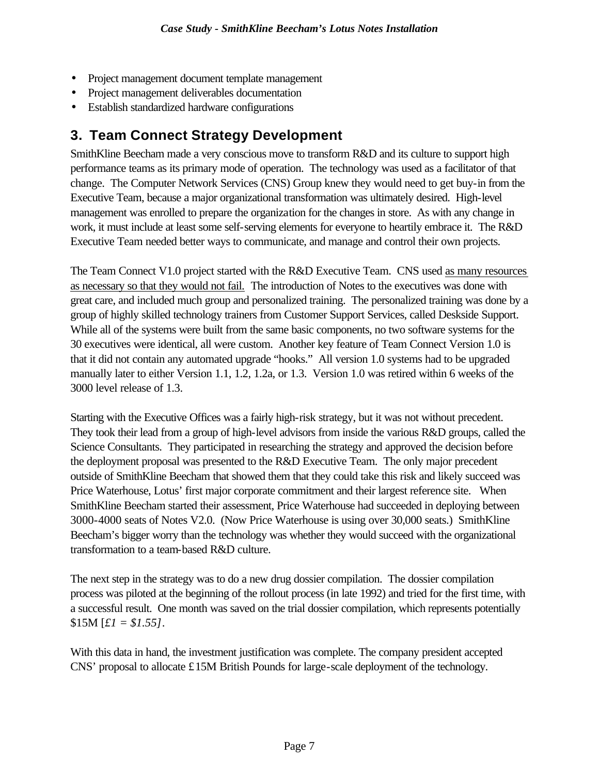- Project management document template management
- Project management deliverables documentation
- Establish standardized hardware configurations

## **3. Team Connect Strategy Development**

SmithKline Beecham made a very conscious move to transform R&D and its culture to support high performance teams as its primary mode of operation. The technology was used as a facilitator of that change. The Computer Network Services (CNS) Group knew they would need to get buy-in from the Executive Team, because a major organizational transformation was ultimately desired. High-level management was enrolled to prepare the organization for the changes in store. As with any change in work, it must include at least some self-serving elements for everyone to heartily embrace it. The R&D Executive Team needed better ways to communicate, and manage and control their own projects.

The Team Connect V1.0 project started with the R&D Executive Team. CNS used as many resources as necessary so that they would not fail. The introduction of Notes to the executives was done with great care, and included much group and personalized training. The personalized training was done by a group of highly skilled technology trainers from Customer Support Services, called Deskside Support. While all of the systems were built from the same basic components, no two software systems for the 30 executives were identical, all were custom. Another key feature of Team Connect Version 1.0 is that it did not contain any automated upgrade "hooks." All version 1.0 systems had to be upgraded manually later to either Version 1.1, 1.2, 1.2a, or 1.3. Version 1.0 was retired within 6 weeks of the 3000 level release of 1.3.

Starting with the Executive Offices was a fairly high-risk strategy, but it was not without precedent. They took their lead from a group of high-level advisors from inside the various R&D groups, called the Science Consultants. They participated in researching the strategy and approved the decision before the deployment proposal was presented to the R&D Executive Team. The only major precedent outside of SmithKline Beecham that showed them that they could take this risk and likely succeed was Price Waterhouse, Lotus' first major corporate commitment and their largest reference site. When SmithKline Beecham started their assessment, Price Waterhouse had succeeded in deploying between 3000-4000 seats of Notes V2.0. (Now Price Waterhouse is using over 30,000 seats.) SmithKline Beecham's bigger worry than the technology was whether they would succeed with the organizational transformation to a team-based R&D culture.

The next step in the strategy was to do a new drug dossier compilation. The dossier compilation process was piloted at the beginning of the rollout process (in late 1992) and tried for the first time, with a successful result. One month was saved on the trial dossier compilation, which represents potentially \$15M [*£1 = \$1.55]*.

With this data in hand, the investment justification was complete. The company president accepted CNS' proposal to allocate £15M British Pounds for large-scale deployment of the technology.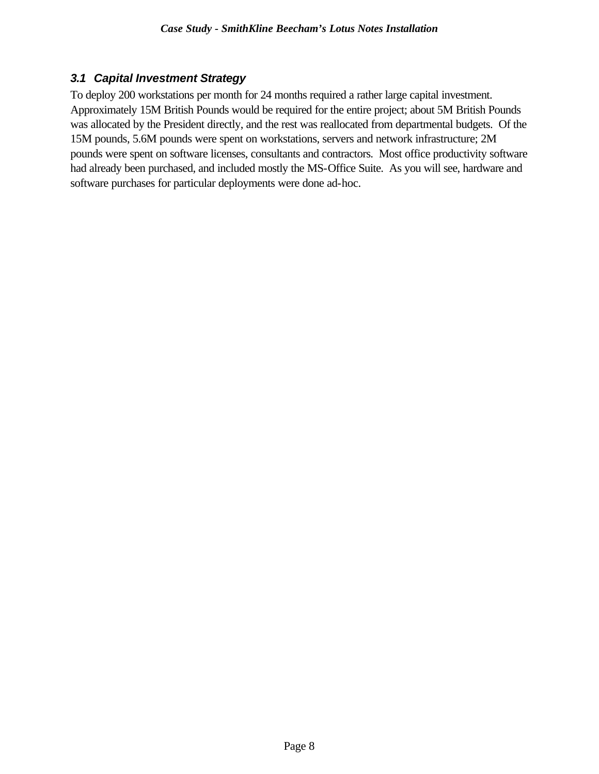### *3.1 Capital Investment Strategy*

To deploy 200 workstations per month for 24 months required a rather large capital investment. Approximately 15M British Pounds would be required for the entire project; about 5M British Pounds was allocated by the President directly, and the rest was reallocated from departmental budgets. Of the 15M pounds, 5.6M pounds were spent on workstations, servers and network infrastructure; 2M pounds were spent on software licenses, consultants and contractors. Most office productivity software had already been purchased, and included mostly the MS-Office Suite. As you will see, hardware and software purchases for particular deployments were done ad-hoc.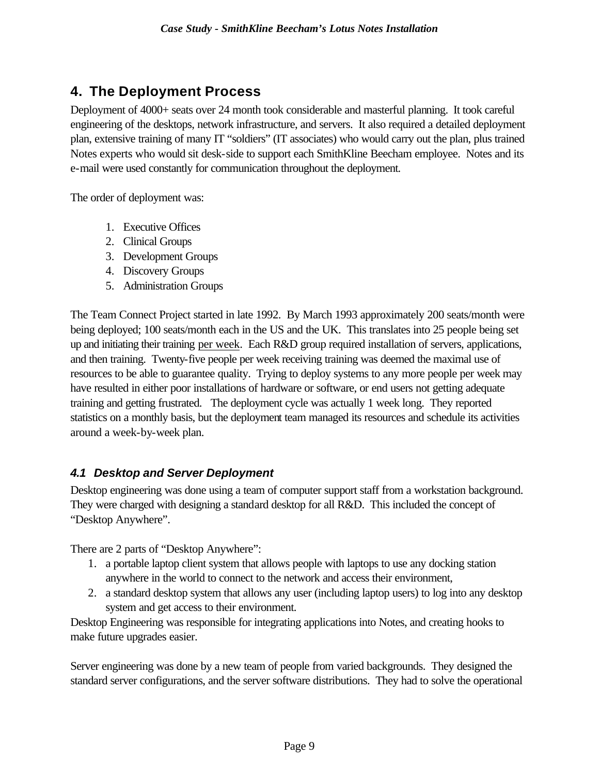## **4. The Deployment Process**

Deployment of 4000+ seats over 24 month took considerable and masterful planning. It took careful engineering of the desktops, network infrastructure, and servers. It also required a detailed deployment plan, extensive training of many IT "soldiers" (IT associates) who would carry out the plan, plus trained Notes experts who would sit desk-side to support each SmithKline Beecham employee. Notes and its e-mail were used constantly for communication throughout the deployment.

The order of deployment was:

- 1. Executive Offices
- 2. Clinical Groups
- 3. Development Groups
- 4. Discovery Groups
- 5. Administration Groups

The Team Connect Project started in late 1992. By March 1993 approximately 200 seats/month were being deployed; 100 seats/month each in the US and the UK. This translates into 25 people being set up and initiating their training per week. Each R&D group required installation of servers, applications, and then training. Twenty-five people per week receiving training was deemed the maximal use of resources to be able to guarantee quality. Trying to deploy systems to any more people per week may have resulted in either poor installations of hardware or software, or end users not getting adequate training and getting frustrated. The deployment cycle was actually 1 week long. They reported statistics on a monthly basis, but the deployment team managed its resources and schedule its activities around a week-by-week plan.

### *4.1 Desktop and Server Deployment*

Desktop engineering was done using a team of computer support staff from a workstation background. They were charged with designing a standard desktop for all R&D. This included the concept of "Desktop Anywhere".

There are 2 parts of "Desktop Anywhere":

- 1. a portable laptop client system that allows people with laptops to use any docking station anywhere in the world to connect to the network and access their environment,
- 2. a standard desktop system that allows any user (including laptop users) to log into any desktop system and get access to their environment.

Desktop Engineering was responsible for integrating applications into Notes, and creating hooks to make future upgrades easier.

Server engineering was done by a new team of people from varied backgrounds. They designed the standard server configurations, and the server software distributions. They had to solve the operational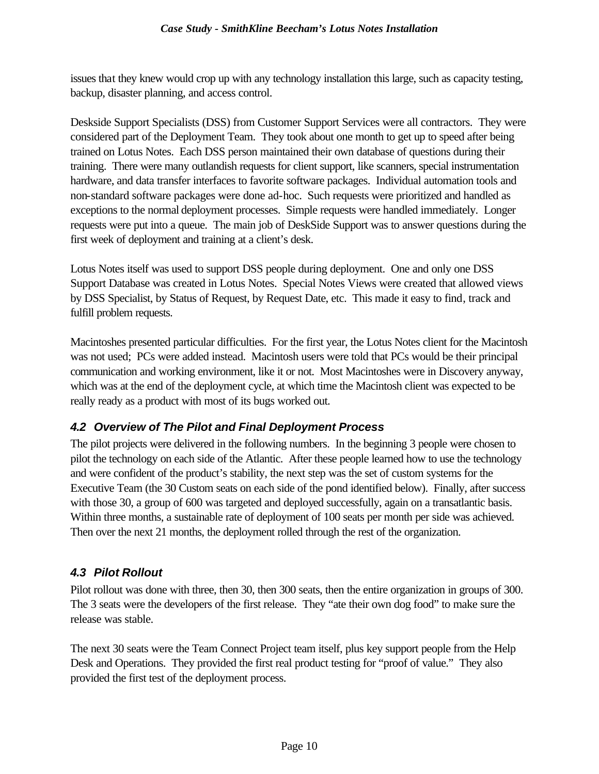issues that they knew would crop up with any technology installation this large, such as capacity testing, backup, disaster planning, and access control.

Deskside Support Specialists (DSS) from Customer Support Services were all contractors. They were considered part of the Deployment Team. They took about one month to get up to speed after being trained on Lotus Notes. Each DSS person maintained their own database of questions during their training. There were many outlandish requests for client support, like scanners, special instrumentation hardware, and data transfer interfaces to favorite software packages. Individual automation tools and non-standard software packages were done ad-hoc. Such requests were prioritized and handled as exceptions to the normal deployment processes. Simple requests were handled immediately. Longer requests were put into a queue. The main job of DeskSide Support was to answer questions during the first week of deployment and training at a client's desk.

Lotus Notes itself was used to support DSS people during deployment. One and only one DSS Support Database was created in Lotus Notes. Special Notes Views were created that allowed views by DSS Specialist, by Status of Request, by Request Date, etc. This made it easy to find, track and fulfill problem requests.

Macintoshes presented particular difficulties. For the first year, the Lotus Notes client for the Macintosh was not used; PCs were added instead. Macintosh users were told that PCs would be their principal communication and working environment, like it or not. Most Macintoshes were in Discovery anyway, which was at the end of the deployment cycle, at which time the Macintosh client was expected to be really ready as a product with most of its bugs worked out.

## *4.2 Overview of The Pilot and Final Deployment Process*

The pilot projects were delivered in the following numbers. In the beginning 3 people were chosen to pilot the technology on each side of the Atlantic. After these people learned how to use the technology and were confident of the product's stability, the next step was the set of custom systems for the Executive Team (the 30 Custom seats on each side of the pond identified below). Finally, after success with those 30, a group of 600 was targeted and deployed successfully, again on a transatlantic basis. Within three months, a sustainable rate of deployment of 100 seats per month per side was achieved. Then over the next 21 months, the deployment rolled through the rest of the organization.

## *4.3 Pilot Rollout*

Pilot rollout was done with three, then 30, then 300 seats, then the entire organization in groups of 300. The 3 seats were the developers of the first release. They "ate their own dog food" to make sure the release was stable.

The next 30 seats were the Team Connect Project team itself, plus key support people from the Help Desk and Operations. They provided the first real product testing for "proof of value." They also provided the first test of the deployment process.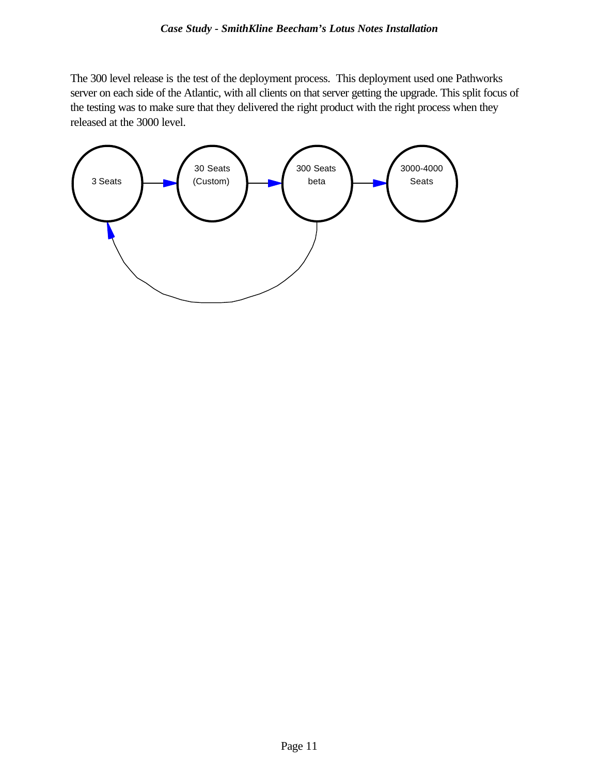The 300 level release is the test of the deployment process. This deployment used one Pathworks server on each side of the Atlantic, with all clients on that server getting the upgrade. This split focus of the testing was to make sure that they delivered the right product with the right process when they released at the 3000 level.

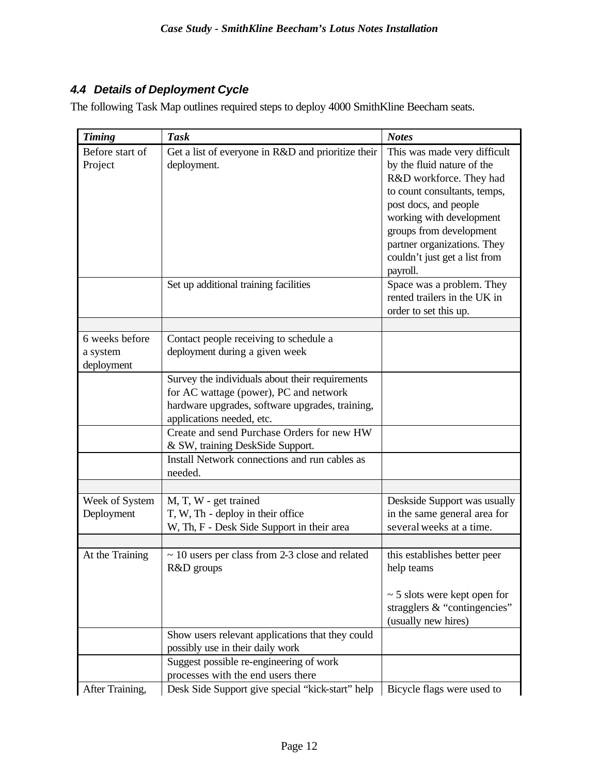### *4.4 Details of Deployment Cycle*

The following Task Map outlines required steps to deploy 4000 SmithKline Beecham seats.

| <b>Timing</b>                            | <b>Task</b>                                                                                                                                                               | <b>Notes</b>                                                                                                                                                                                                                                                                      |
|------------------------------------------|---------------------------------------------------------------------------------------------------------------------------------------------------------------------------|-----------------------------------------------------------------------------------------------------------------------------------------------------------------------------------------------------------------------------------------------------------------------------------|
| Before start of<br>Project               | Get a list of everyone in R&D and prioritize their<br>deployment.                                                                                                         | This was made very difficult<br>by the fluid nature of the<br>R&D workforce. They had<br>to count consultants, temps,<br>post docs, and people<br>working with development<br>groups from development<br>partner organizations. They<br>couldn't just get a list from<br>payroll. |
|                                          | Set up additional training facilities                                                                                                                                     | Space was a problem. They<br>rented trailers in the UK in<br>order to set this up.                                                                                                                                                                                                |
| 6 weeks before<br>a system<br>deployment | Contact people receiving to schedule a<br>deployment during a given week                                                                                                  |                                                                                                                                                                                                                                                                                   |
|                                          | Survey the individuals about their requirements<br>for AC wattage (power), PC and network<br>hardware upgrades, software upgrades, training,<br>applications needed, etc. |                                                                                                                                                                                                                                                                                   |
|                                          | Create and send Purchase Orders for new HW<br>& SW, training DeskSide Support.<br>Install Network connections and run cables as                                           |                                                                                                                                                                                                                                                                                   |
|                                          | needed.                                                                                                                                                                   |                                                                                                                                                                                                                                                                                   |
| Week of System<br>Deployment             | M, T, W - get trained<br>T, W, Th - deploy in their office<br>W, Th, F - Desk Side Support in their area                                                                  | Deskside Support was usually<br>in the same general area for<br>several weeks at a time.                                                                                                                                                                                          |
| At the Training                          | $\sim$ 10 users per class from 2-3 close and related<br>R&D groups                                                                                                        | this establishes better peer<br>help teams                                                                                                                                                                                                                                        |
|                                          |                                                                                                                                                                           | $\sim$ 5 slots were kept open for<br>stragglers $&$ "contingencies"<br>(usually new hires)                                                                                                                                                                                        |
|                                          | Show users relevant applications that they could<br>possibly use in their daily work                                                                                      |                                                                                                                                                                                                                                                                                   |
|                                          | Suggest possible re-engineering of work<br>processes with the end users there                                                                                             |                                                                                                                                                                                                                                                                                   |
| After Training,                          | Desk Side Support give special "kick-start" help                                                                                                                          | Bicycle flags were used to                                                                                                                                                                                                                                                        |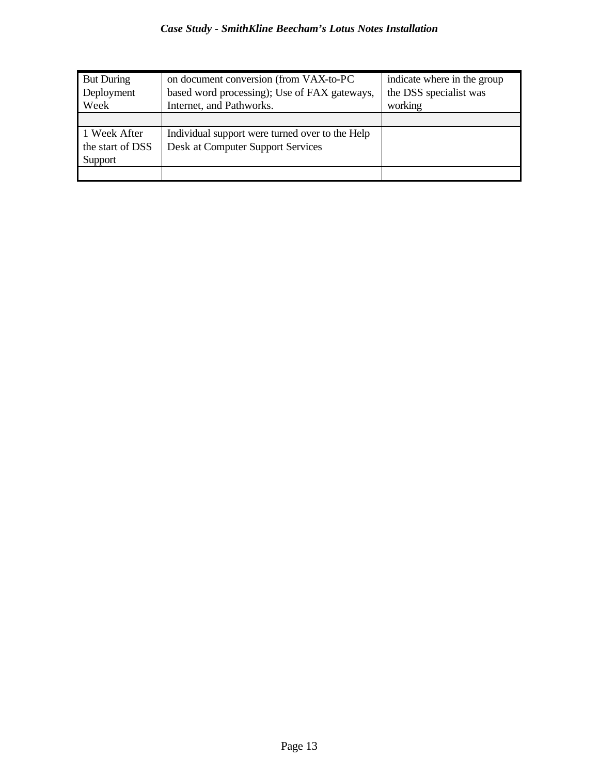| <b>But During</b> | on document conversion (from VAX-to-PC          | indicate where in the group |
|-------------------|-------------------------------------------------|-----------------------------|
| Deployment        | based word processing); Use of FAX gateways,    | the DSS specialist was      |
| Week              | Internet, and Pathworks.                        | working                     |
|                   |                                                 |                             |
| 1 Week After      | Individual support were turned over to the Help |                             |
| the start of DSS  | Desk at Computer Support Services               |                             |
| Support           |                                                 |                             |
|                   |                                                 |                             |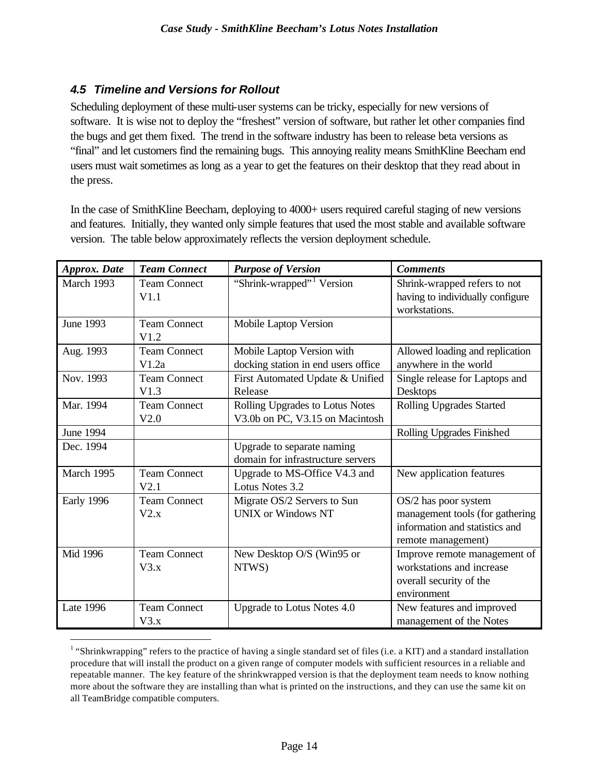#### *4.5 Timeline and Versions for Rollout*

 $\overline{a}$ 

Scheduling deployment of these multi-user systems can be tricky, especially for new versions of software. It is wise not to deploy the "freshest" version of software, but rather let other companies find the bugs and get them fixed. The trend in the software industry has been to release beta versions as "final" and let customers find the remaining bugs. This annoying reality means SmithKline Beecham end users must wait sometimes as long as a year to get the features on their desktop that they read about in the press.

In the case of SmithKline Beecham, deploying to 4000+ users required careful staging of new versions and features. Initially, they wanted only simple features that used the most stable and available software version. The table below approximately reflects the version deployment schedule.

| <b>Approx.</b> Date | <b>Team Connect</b>          | <b>Purpose of Version</b>                                          | <b>Comments</b>                                                                                                 |
|---------------------|------------------------------|--------------------------------------------------------------------|-----------------------------------------------------------------------------------------------------------------|
| March 1993          | <b>Team Connect</b><br>V1.1  | "Shrink-wrapped" <sup>1</sup> Version                              | Shrink-wrapped refers to not<br>having to individually configure<br>workstations.                               |
| <b>June 1993</b>    | <b>Team Connect</b><br>V1.2  | Mobile Laptop Version                                              |                                                                                                                 |
| Aug. 1993           | <b>Team Connect</b><br>V1.2a | Mobile Laptop Version with<br>docking station in end users office  | Allowed loading and replication<br>anywhere in the world                                                        |
| Nov. 1993           | <b>Team Connect</b><br>V1.3  | First Automated Update & Unified<br>Release                        | Single release for Laptops and<br>Desktops                                                                      |
| Mar. 1994           | <b>Team Connect</b><br>V2.0  | Rolling Upgrades to Lotus Notes<br>V3.0b on PC, V3.15 on Macintosh | <b>Rolling Upgrades Started</b>                                                                                 |
| <b>June 1994</b>    |                              |                                                                    | Rolling Upgrades Finished                                                                                       |
| Dec. 1994           |                              | Upgrade to separate naming<br>domain for infrastructure servers    |                                                                                                                 |
| March 1995          | <b>Team Connect</b><br>V2.1  | Upgrade to MS-Office V4.3 and<br>Lotus Notes 3.2                   | New application features                                                                                        |
| Early 1996          | <b>Team Connect</b><br>V2.x  | Migrate OS/2 Servers to Sun<br><b>UNIX</b> or Windows NT           | OS/2 has poor system<br>management tools (for gathering<br>information and statistics and<br>remote management) |
| Mid 1996            | <b>Team Connect</b><br>V3.x  | New Desktop O/S (Win95 or<br>NTWS)                                 | Improve remote management of<br>workstations and increase<br>overall security of the<br>environment             |
| <b>Late 1996</b>    | <b>Team Connect</b><br>V3.x  | Upgrade to Lotus Notes 4.0                                         | New features and improved<br>management of the Notes                                                            |

 $1$  "Shrinkwrapping" refers to the practice of having a single standard set of files (i.e. a KIT) and a standard installation procedure that will install the product on a given range of computer models with sufficient resources in a reliable and repeatable manner. The key feature of the shrinkwrapped version is that the deployment team needs to know nothing more about the software they are installing than what is printed on the instructions, and they can use the same kit on all TeamBridge compatible computers.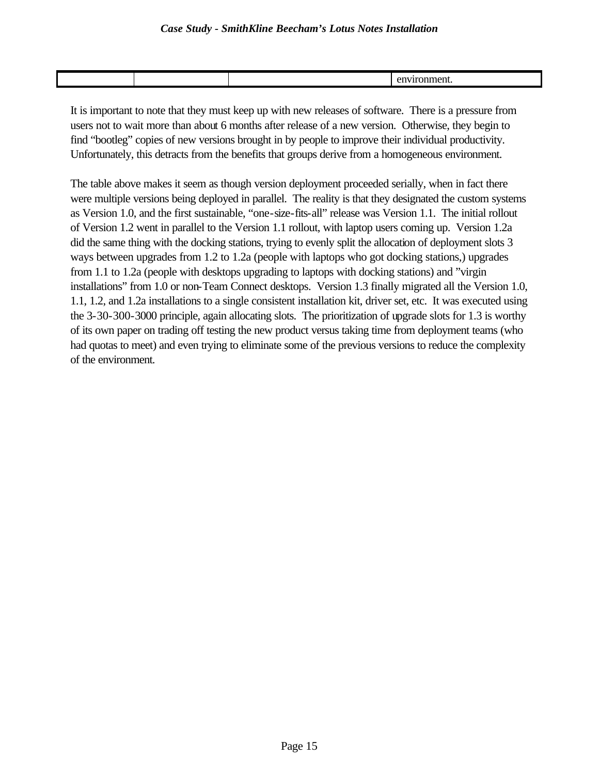It is important to note that they must keep up with new releases of software. There is a pressure from users not to wait more than about 6 months after release of a new version. Otherwise, they begin to find "bootleg" copies of new versions brought in by people to improve their individual productivity. Unfortunately, this detracts from the benefits that groups derive from a homogeneous environment.

The table above makes it seem as though version deployment proceeded serially, when in fact there were multiple versions being deployed in parallel. The reality is that they designated the custom systems as Version 1.0, and the first sustainable, "one-size-fits-all" release was Version 1.1. The initial rollout of Version 1.2 went in parallel to the Version 1.1 rollout, with laptop users coming up. Version 1.2a did the same thing with the docking stations, trying to evenly split the allocation of deployment slots 3 ways between upgrades from 1.2 to 1.2a (people with laptops who got docking stations,) upgrades from 1.1 to 1.2a (people with desktops upgrading to laptops with docking stations) and "virgin installations" from 1.0 or non-Team Connect desktops. Version 1.3 finally migrated all the Version 1.0, 1.1, 1.2, and 1.2a installations to a single consistent installation kit, driver set, etc. It was executed using the 3-30-300-3000 principle, again allocating slots. The prioritization of upgrade slots for 1.3 is worthy of its own paper on trading off testing the new product versus taking time from deployment teams (who had quotas to meet) and even trying to eliminate some of the previous versions to reduce the complexity of the environment.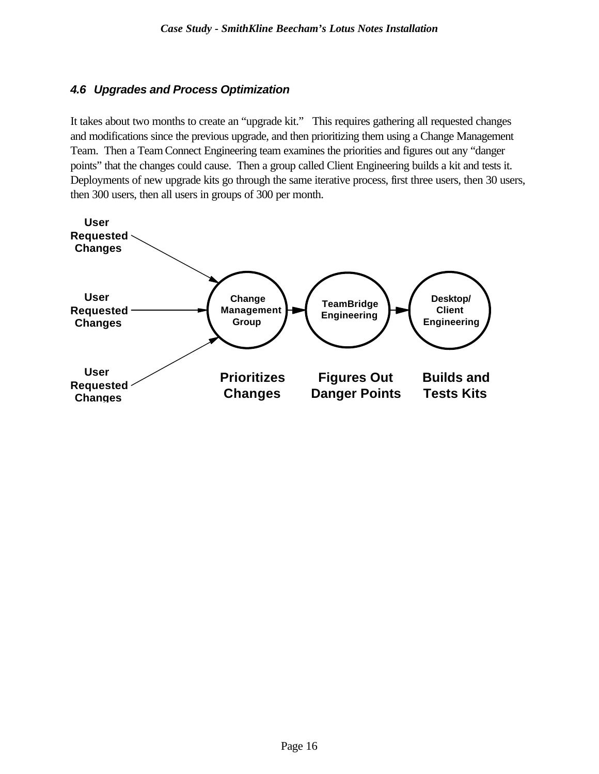### *4.6 Upgrades and Process Optimization*

It takes about two months to create an "upgrade kit." This requires gathering all requested changes and modifications since the previous upgrade, and then prioritizing them using a Change Management Team. Then a Team Connect Engineering team examines the priorities and figures out any "danger points" that the changes could cause. Then a group called Client Engineering builds a kit and tests it. Deployments of new upgrade kits go through the same iterative process, first three users, then 30 users, then 300 users, then all users in groups of 300 per month.

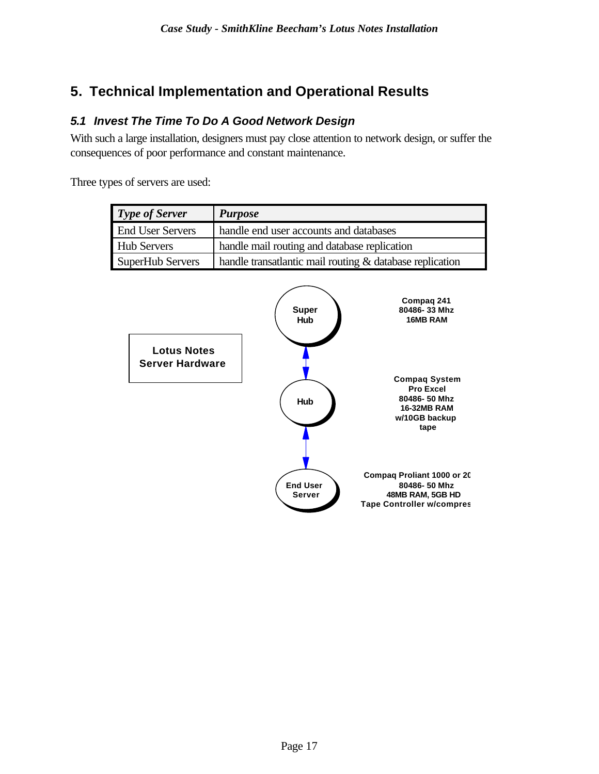## **5. Technical Implementation and Operational Results**

## *5.1 Invest The Time To Do A Good Network Design*

With such a large installation, designers must pay close attention to network design, or suffer the consequences of poor performance and constant maintenance.

Three types of servers are used:

| <b>Type of Server</b>   | <b>Purpose</b>                                           |
|-------------------------|----------------------------------------------------------|
| <b>End User Servers</b> | handle end user accounts and databases                   |
| <b>Hub Servers</b>      | handle mail routing and database replication             |
| <b>SuperHub Servers</b> | handle transatlantic mail routing & database replication |

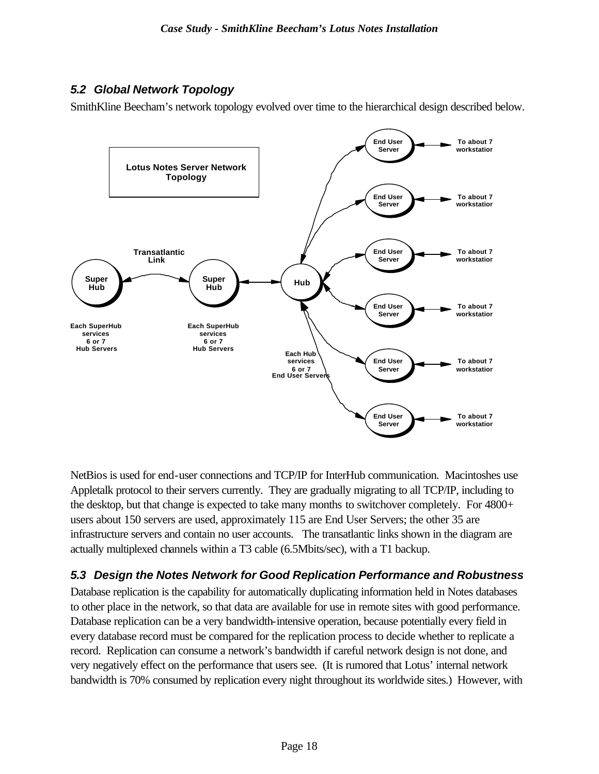## *5.2 Global Network Topology*

SmithKline Beecham's network topology evolved over time to the hierarchical design described below.



NetBios is used for end-user connections and TCP/IP for InterHub communication. Macintoshes use Appletalk protocol to their servers currently. They are gradually migrating to all TCP/IP, including to the desktop, but that change is expected to take many months to switchover completely. For 4800+ users about 150 servers are used, approximately 115 are End User Servers; the other 35 are infrastructure servers and contain no user accounts. The transatlantic links shown in the diagram are actually multiplexed channels within a T3 cable (6.5Mbits/sec), with a T1 backup.

## *5.3 Design the Notes Network for Good Replication Performance and Robustness*

Database replication is the capability for automatically duplicating information held in Notes databases to other place in the network, so that data are available for use in remote sites with good performance. Database replication can be a very bandwidth-intensive operation, because potentially every field in every database record must be compared for the replication process to decide whether to replicate a record. Replication can consume a network's bandwidth if careful network design is not done, and very negatively effect on the performance that users see. (It is rumored that Lotus' internal network bandwidth is 70% consumed by replication every night throughout its worldwide sites.) However, with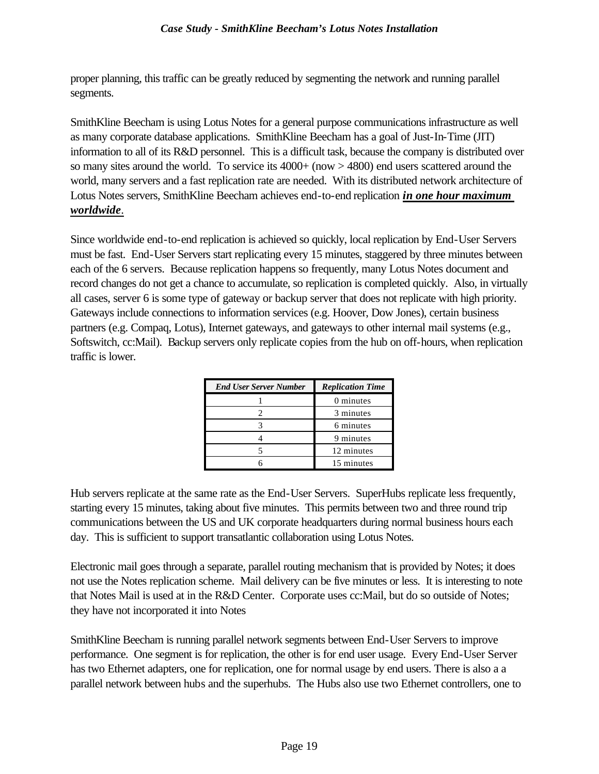proper planning, this traffic can be greatly reduced by segmenting the network and running parallel segments.

SmithKline Beecham is using Lotus Notes for a general purpose communications infrastructure as well as many corporate database applications. SmithKline Beecham has a goal of Just-In-Time (JIT) information to all of its R&D personnel. This is a difficult task, because the company is distributed over so many sites around the world. To service its  $4000+$  (now  $> 4800$ ) end users scattered around the world, many servers and a fast replication rate are needed. With its distributed network architecture of Lotus Notes servers, SmithKline Beecham achieves end-to-end replication *in one hour maximum worldwide*.

Since worldwide end-to-end replication is achieved so quickly, local replication by End-User Servers must be fast. End-User Servers start replicating every 15 minutes, staggered by three minutes between each of the 6 servers. Because replication happens so frequently, many Lotus Notes document and record changes do not get a chance to accumulate, so replication is completed quickly. Also, in virtually all cases, server 6 is some type of gateway or backup server that does not replicate with high priority. Gateways include connections to information services (e.g. Hoover, Dow Jones), certain business partners (e.g. Compaq, Lotus), Internet gateways, and gateways to other internal mail systems (e.g., Softswitch, cc:Mail). Backup servers only replicate copies from the hub on off-hours, when replication traffic is lower.

| <b>End User Server Number</b> | <b>Replication Time</b> |
|-------------------------------|-------------------------|
|                               | 0 minutes               |
|                               | 3 minutes               |
|                               | 6 minutes               |
|                               | 9 minutes               |
|                               | 12 minutes              |
|                               | 15 minutes              |

Hub servers replicate at the same rate as the End-User Servers. SuperHubs replicate less frequently, starting every 15 minutes, taking about five minutes. This permits between two and three round trip communications between the US and UK corporate headquarters during normal business hours each day. This is sufficient to support transatlantic collaboration using Lotus Notes.

Electronic mail goes through a separate, parallel routing mechanism that is provided by Notes; it does not use the Notes replication scheme. Mail delivery can be five minutes or less. It is interesting to note that Notes Mail is used at in the R&D Center. Corporate uses cc:Mail, but do so outside of Notes; they have not incorporated it into Notes

SmithKline Beecham is running parallel network segments between End-User Servers to improve performance. One segment is for replication, the other is for end user usage. Every End-User Server has two Ethernet adapters, one for replication, one for normal usage by end users. There is also a a parallel network between hubs and the superhubs. The Hubs also use two Ethernet controllers, one to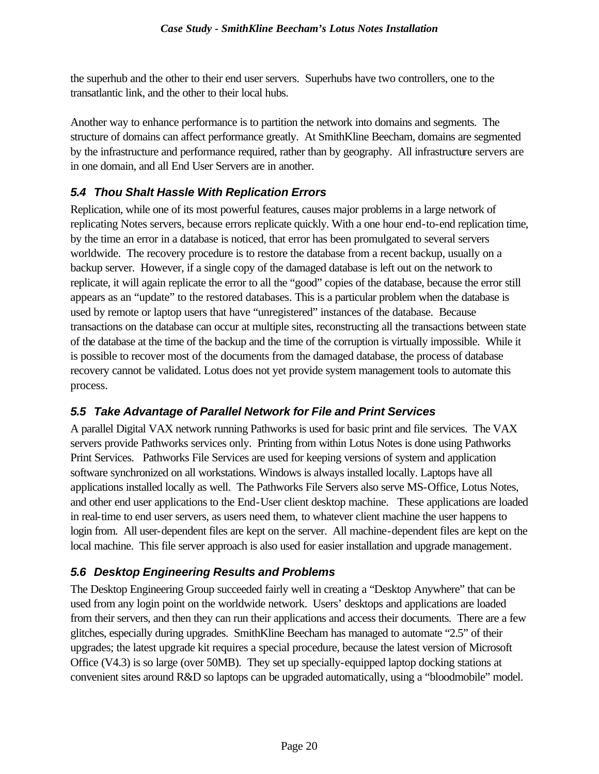the superhub and the other to their end user servers. Superhubs have two controllers, one to the transatlantic link, and the other to their local hubs.

Another way to enhance performance is to partition the network into domains and segments. The structure of domains can affect performance greatly. At SmithKline Beecham, domains are segmented by the infrastructure and performance required, rather than by geography. All infrastructure servers are in one domain, and all End User Servers are in another.

## *5.4 Thou Shalt Hassle With Replication Errors*

Replication, while one of its most powerful features, causes major problems in a large network of replicating Notes servers, because errors replicate quickly. With a one hour end-to-end replication time, by the time an error in a database is noticed, that error has been promulgated to several servers worldwide. The recovery procedure is to restore the database from a recent backup, usually on a backup server. However, if a single copy of the damaged database is left out on the network to replicate, it will again replicate the error to all the "good" copies of the database, because the error still appears as an "update" to the restored databases. This is a particular problem when the database is used by remote or laptop users that have "unregistered" instances of the database. Because transactions on the database can occur at multiple sites, reconstructing all the transactions between state of the database at the time of the backup and the time of the corruption is virtually impossible. While it is possible to recover most of the documents from the damaged database, the process of database recovery cannot be validated. Lotus does not yet provide system management tools to automate this process.

### *5.5 Take Advantage of Parallel Network for File and Print Services*

A parallel Digital VAX network running Pathworks is used for basic print and file services. The VAX servers provide Pathworks services only. Printing from within Lotus Notes is done using Pathworks Print Services. Pathworks File Services are used for keeping versions of system and application software synchronized on all workstations. Windows is always installed locally. Laptops have all applications installed locally as well. The Pathworks File Servers also serve MS-Office, Lotus Notes, and other end user applications to the End-User client desktop machine. These applications are loaded in real-time to end user servers, as users need them, to whatever client machine the user happens to login from. All user-dependent files are kept on the server. All machine-dependent files are kept on the local machine. This file server approach is also used for easier installation and upgrade management.

### *5.6 Desktop Engineering Results and Problems*

The Desktop Engineering Group succeeded fairly well in creating a "Desktop Anywhere" that can be used from any login point on the worldwide network. Users' desktops and applications are loaded from their servers, and then they can run their applications and access their documents. There are a few glitches, especially during upgrades. SmithKline Beecham has managed to automate "2.5" of their upgrades; the latest upgrade kit requires a special procedure, because the latest version of Microsoft Office (V4.3) is so large (over 50MB). They set up specially-equipped laptop docking stations at convenient sites around R&D so laptops can be upgraded automatically, using a "bloodmobile" model.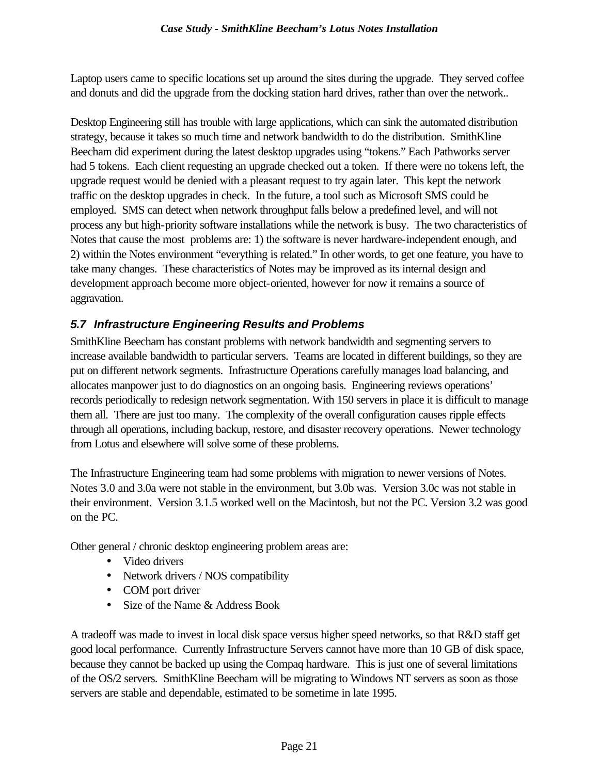Laptop users came to specific locations set up around the sites during the upgrade. They served coffee and donuts and did the upgrade from the docking station hard drives, rather than over the network..

Desktop Engineering still has trouble with large applications, which can sink the automated distribution strategy, because it takes so much time and network bandwidth to do the distribution. SmithKline Beecham did experiment during the latest desktop upgrades using "tokens." Each Pathworks server had 5 tokens. Each client requesting an upgrade checked out a token. If there were no tokens left, the upgrade request would be denied with a pleasant request to try again later. This kept the network traffic on the desktop upgrades in check. In the future, a tool such as Microsoft SMS could be employed. SMS can detect when network throughput falls below a predefined level, and will not process any but high-priority software installations while the network is busy. The two characteristics of Notes that cause the most problems are: 1) the software is never hardware-independent enough, and 2) within the Notes environment "everything is related." In other words, to get one feature, you have to take many changes. These characteristics of Notes may be improved as its internal design and development approach become more object-oriented, however for now it remains a source of aggravation.

## *5.7 Infrastructure Engineering Results and Problems*

SmithKline Beecham has constant problems with network bandwidth and segmenting servers to increase available bandwidth to particular servers. Teams are located in different buildings, so they are put on different network segments. Infrastructure Operations carefully manages load balancing, and allocates manpower just to do diagnostics on an ongoing basis. Engineering reviews operations' records periodically to redesign network segmentation. With 150 servers in place it is difficult to manage them all. There are just too many. The complexity of the overall configuration causes ripple effects through all operations, including backup, restore, and disaster recovery operations. Newer technology from Lotus and elsewhere will solve some of these problems.

The Infrastructure Engineering team had some problems with migration to newer versions of Notes. Notes 3.0 and 3.0a were not stable in the environment, but 3.0b was. Version 3.0c was not stable in their environment. Version 3.1.5 worked well on the Macintosh, but not the PC. Version 3.2 was good on the PC.

Other general / chronic desktop engineering problem areas are:

- Video drivers
- Network drivers / NOS compatibility
- COM port driver
- Size of the Name & Address Book

A tradeoff was made to invest in local disk space versus higher speed networks, so that R&D staff get good local performance. Currently Infrastructure Servers cannot have more than 10 GB of disk space, because they cannot be backed up using the Compaq hardware. This is just one of several limitations of the OS/2 servers. SmithKline Beecham will be migrating to Windows NT servers as soon as those servers are stable and dependable, estimated to be sometime in late 1995.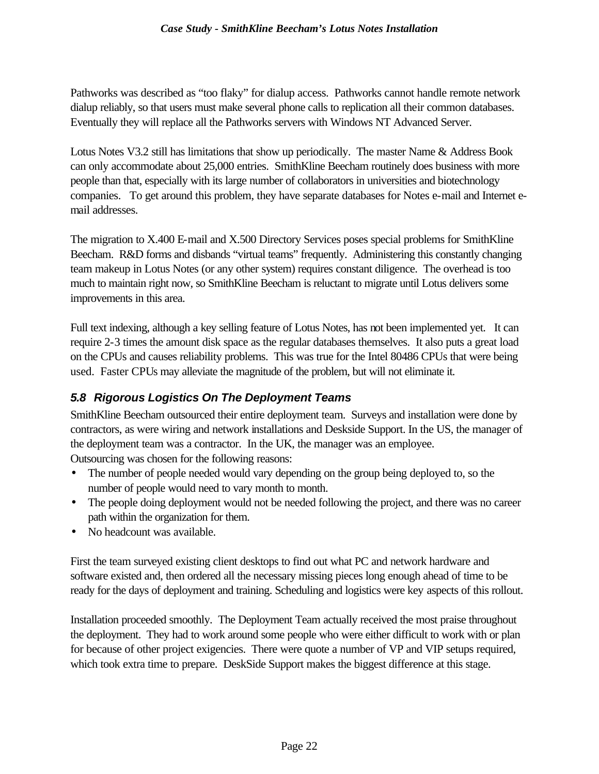Pathworks was described as "too flaky" for dialup access. Pathworks cannot handle remote network dialup reliably, so that users must make several phone calls to replication all their common databases. Eventually they will replace all the Pathworks servers with Windows NT Advanced Server.

Lotus Notes V3.2 still has limitations that show up periodically. The master Name & Address Book can only accommodate about 25,000 entries. SmithKline Beecham routinely does business with more people than that, especially with its large number of collaborators in universities and biotechnology companies. To get around this problem, they have separate databases for Notes e-mail and Internet email addresses.

The migration to X.400 E-mail and X.500 Directory Services poses special problems for SmithKline Beecham. R&D forms and disbands "virtual teams" frequently. Administering this constantly changing team makeup in Lotus Notes (or any other system) requires constant diligence. The overhead is too much to maintain right now, so SmithKline Beecham is reluctant to migrate until Lotus delivers some improvements in this area.

Full text indexing, although a key selling feature of Lotus Notes, has not been implemented yet. It can require 2-3 times the amount disk space as the regular databases themselves. It also puts a great load on the CPUs and causes reliability problems. This was true for the Intel 80486 CPUs that were being used. Faster CPUs may alleviate the magnitude of the problem, but will not eliminate it.

## *5.8 Rigorous Logistics On The Deployment Teams*

SmithKline Beecham outsourced their entire deployment team. Surveys and installation were done by contractors, as were wiring and network installations and Deskside Support. In the US, the manager of the deployment team was a contractor. In the UK, the manager was an employee. Outsourcing was chosen for the following reasons:

- The number of people needed would vary depending on the group being deployed to, so the number of people would need to vary month to month.
- The people doing deployment would not be needed following the project, and there was no career path within the organization for them.
- No headcount was available.

First the team surveyed existing client desktops to find out what PC and network hardware and software existed and, then ordered all the necessary missing pieces long enough ahead of time to be ready for the days of deployment and training. Scheduling and logistics were key aspects of this rollout.

Installation proceeded smoothly. The Deployment Team actually received the most praise throughout the deployment. They had to work around some people who were either difficult to work with or plan for because of other project exigencies. There were quote a number of VP and VIP setups required, which took extra time to prepare. DeskSide Support makes the biggest difference at this stage.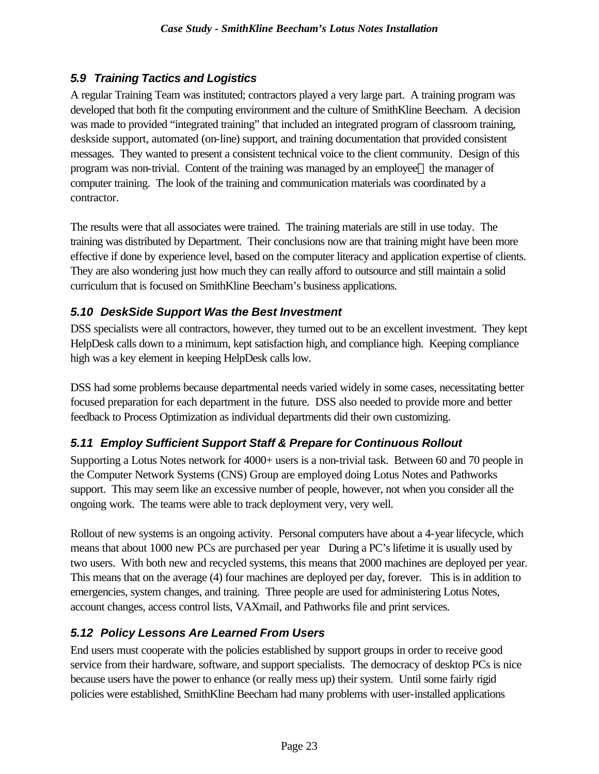## *5.9 Training Tactics and Logistics*

A regular Training Team was instituted; contractors played a very large part. A training program was developed that both fit the computing environment and the culture of SmithKline Beecham. A decision was made to provided "integrated training" that included an integrated program of classroom training, deskside support, automated (on-line) support, and training documentation that provided consistent messages. They wanted to present a consistent technical voice to the client community. Design of this program was non-trivial. Content of the training was managed by an employee—the manager of computer training. The look of the training and communication materials was coordinated by a contractor.

The results were that all associates were trained. The training materials are still in use today. The training was distributed by Department. Their conclusions now are that training might have been more effective if done by experience level, based on the computer literacy and application expertise of clients. They are also wondering just how much they can really afford to outsource and still maintain a solid curriculum that is focused on SmithKline Beecham's business applications.

## *5.10 DeskSide Support Was the Best Investment*

DSS specialists were all contractors, however, they turned out to be an excellent investment. They kept HelpDesk calls down to a minimum, kept satisfaction high, and compliance high. Keeping compliance high was a key element in keeping HelpDesk calls low.

DSS had some problems because departmental needs varied widely in some cases, necessitating better focused preparation for each department in the future. DSS also needed to provide more and better feedback to Process Optimization as individual departments did their own customizing.

## *5.11 Employ Sufficient Support Staff & Prepare for Continuous Rollout*

Supporting a Lotus Notes network for 4000+ users is a non-trivial task. Between 60 and 70 people in the Computer Network Systems (CNS) Group are employed doing Lotus Notes and Pathworks support. This may seem like an excessive number of people, however, not when you consider all the ongoing work. The teams were able to track deployment very, very well.

Rollout of new systems is an ongoing activity. Personal computers have about a 4-year lifecycle, which means that about 1000 new PCs are purchased per year During a PC's lifetime it is usually used by two users. With both new and recycled systems, this means that 2000 machines are deployed per year. This means that on the average (4) four machines are deployed per day, forever. This is in addition to emergencies, system changes, and training. Three people are used for administering Lotus Notes, account changes, access control lists, VAXmail, and Pathworks file and print services.

### *5.12 Policy Lessons Are Learned From Users*

End users must cooperate with the policies established by support groups in order to receive good service from their hardware, software, and support specialists. The democracy of desktop PCs is nice because users have the power to enhance (or really mess up) their system. Until some fairly rigid policies were established, SmithKline Beecham had many problems with user-installed applications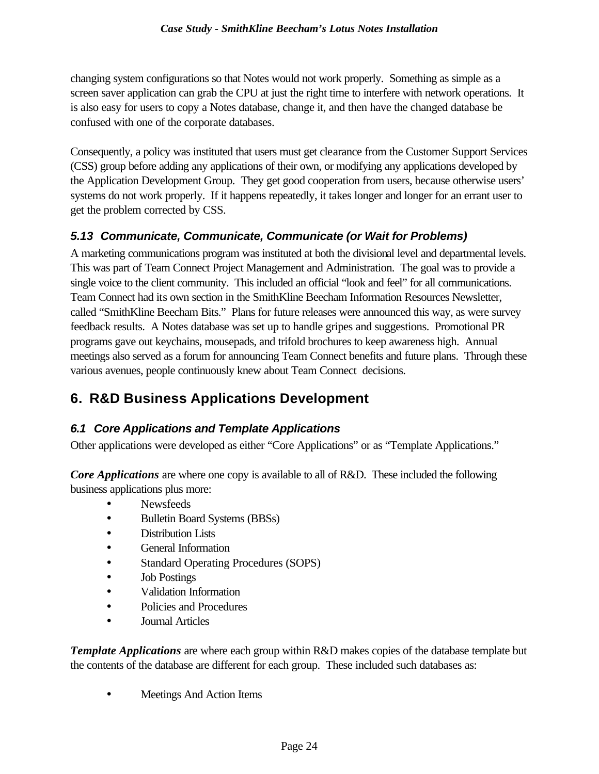changing system configurations so that Notes would not work properly. Something as simple as a screen saver application can grab the CPU at just the right time to interfere with network operations. It is also easy for users to copy a Notes database, change it, and then have the changed database be confused with one of the corporate databases.

Consequently, a policy was instituted that users must get clearance from the Customer Support Services (CSS) group before adding any applications of their own, or modifying any applications developed by the Application Development Group. They get good cooperation from users, because otherwise users' systems do not work properly. If it happens repeatedly, it takes longer and longer for an errant user to get the problem corrected by CSS.

## *5.13 Communicate, Communicate, Communicate (or Wait for Problems)*

A marketing communications program was instituted at both the divisional level and departmental levels. This was part of Team Connect Project Management and Administration. The goal was to provide a single voice to the client community. This included an official "look and feel" for all communications. Team Connect had its own section in the SmithKline Beecham Information Resources Newsletter, called "SmithKline Beecham Bits." Plans for future releases were announced this way, as were survey feedback results. A Notes database was set up to handle gripes and suggestions. Promotional PR programs gave out keychains, mousepads, and trifold brochures to keep awareness high. Annual meetings also served as a forum for announcing Team Connect benefits and future plans. Through these various avenues, people continuously knew about Team Connect decisions.

## **6. R&D Business Applications Development**

## *6.1 Core Applications and Template Applications*

Other applications were developed as either "Core Applications" or as "Template Applications."

*Core Applications* are where one copy is available to all of R&D. These included the following business applications plus more:

- Newsfeeds
- Bulletin Board Systems (BBSs)
- Distribution Lists
- General Information
- Standard Operating Procedures (SOPS)
- Job Postings
- Validation Information
- Policies and Procedures
- Journal Articles

*Template Applications* are where each group within R&D makes copies of the database template but the contents of the database are different for each group. These included such databases as:

• Meetings And Action Items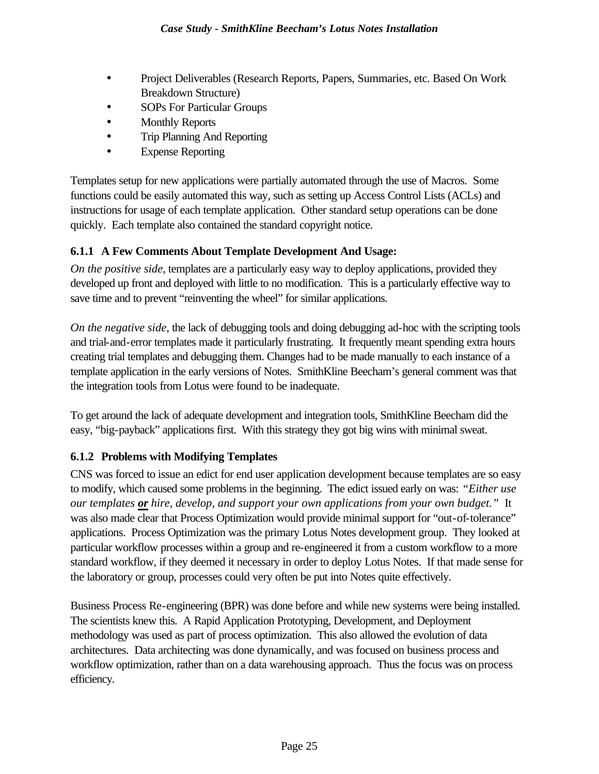- Project Deliverables (Research Reports, Papers, Summaries, etc. Based On Work Breakdown Structure)
- SOPs For Particular Groups
- Monthly Reports
- Trip Planning And Reporting
- Expense Reporting

Templates setup for new applications were partially automated through the use of Macros. Some functions could be easily automated this way, such as setting up Access Control Lists (ACLs) and instructions for usage of each template application. Other standard setup operations can be done quickly. Each template also contained the standard copyright notice.

#### **6.1.1 A Few Comments About Template Development And Usage:**

*On the positive side*, templates are a particularly easy way to deploy applications, provided they developed up front and deployed with little to no modification. This is a particularly effective way to save time and to prevent "reinventing the wheel" for similar applications.

*On the negative side*, the lack of debugging tools and doing debugging ad-hoc with the scripting tools and trial-and-error templates made it particularly frustrating. It frequently meant spending extra hours creating trial templates and debugging them. Changes had to be made manually to each instance of a template application in the early versions of Notes. SmithKline Beecham's general comment was that the integration tools from Lotus were found to be inadequate.

To get around the lack of adequate development and integration tools, SmithKline Beecham did the easy, "big-payback" applications first. With this strategy they got big wins with minimal sweat.

### **6.1.2 Problems with Modifying Templates**

CNS was forced to issue an edict for end user application development because templates are so easy to modify, which caused some problems in the beginning. The edict issued early on was: *"Either use our templates or hire, develop, and support your own applications from your own budget."* It was also made clear that Process Optimization would provide minimal support for "out-of-tolerance" applications. Process Optimization was the primary Lotus Notes development group. They looked at particular workflow processes within a group and re-engineered it from a custom workflow to a more standard workflow, if they deemed it necessary in order to deploy Lotus Notes. If that made sense for the laboratory or group, processes could very often be put into Notes quite effectively.

Business Process Re-engineering (BPR) was done before and while new systems were being installed. The scientists knew this. A Rapid Application Prototyping, Development, and Deployment methodology was used as part of process optimization. This also allowed the evolution of data architectures. Data architecting was done dynamically, and was focused on business process and workflow optimization, rather than on a data warehousing approach. Thus the focus was on process efficiency.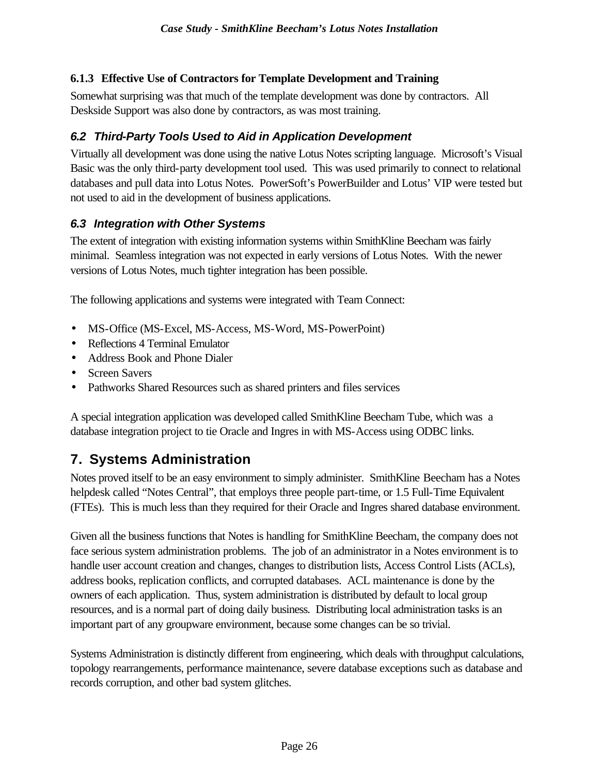#### **6.1.3 Effective Use of Contractors for Template Development and Training**

Somewhat surprising was that much of the template development was done by contractors. All Deskside Support was also done by contractors, as was most training.

## *6.2 Third-Party Tools Used to Aid in Application Development*

Virtually all development was done using the native Lotus Notes scripting language. Microsoft's Visual Basic was the only third-party development tool used. This was used primarily to connect to relational databases and pull data into Lotus Notes. PowerSoft's PowerBuilder and Lotus' VIP were tested but not used to aid in the development of business applications.

### *6.3 Integration with Other Systems*

The extent of integration with existing information systems within SmithKline Beecham was fairly minimal. Seamless integration was not expected in early versions of Lotus Notes. With the newer versions of Lotus Notes, much tighter integration has been possible.

The following applications and systems were integrated with Team Connect:

- MS-Office (MS-Excel, MS-Access, MS-Word, MS-PowerPoint)
- Reflections 4 Terminal Emulator
- Address Book and Phone Dialer
- Screen Savers
- Pathworks Shared Resources such as shared printers and files services

A special integration application was developed called SmithKline Beecham Tube, which was a database integration project to tie Oracle and Ingres in with MS-Access using ODBC links.

## **7. Systems Administration**

Notes proved itself to be an easy environment to simply administer. SmithKline Beecham has a Notes helpdesk called "Notes Central", that employs three people part-time, or 1.5 Full-Time Equivalent (FTEs). This is much less than they required for their Oracle and Ingres shared database environment.

Given all the business functions that Notes is handling for SmithKline Beecham, the company does not face serious system administration problems. The job of an administrator in a Notes environment is to handle user account creation and changes, changes to distribution lists, Access Control Lists (ACLs), address books, replication conflicts, and corrupted databases. ACL maintenance is done by the owners of each application. Thus, system administration is distributed by default to local group resources, and is a normal part of doing daily business. Distributing local administration tasks is an important part of any groupware environment, because some changes can be so trivial.

Systems Administration is distinctly different from engineering, which deals with throughput calculations, topology rearrangements, performance maintenance, severe database exceptions such as database and records corruption, and other bad system glitches.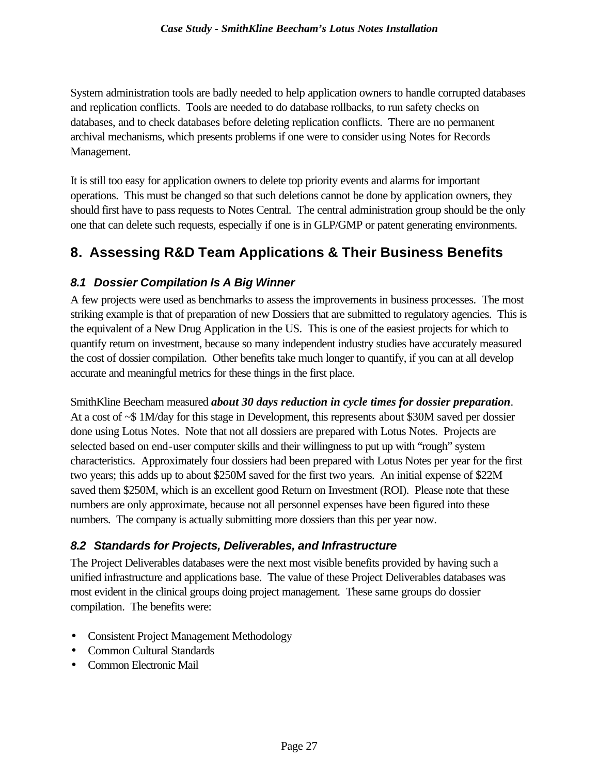System administration tools are badly needed to help application owners to handle corrupted databases and replication conflicts. Tools are needed to do database rollbacks, to run safety checks on databases, and to check databases before deleting replication conflicts. There are no permanent archival mechanisms, which presents problems if one were to consider using Notes for Records Management.

It is still too easy for application owners to delete top priority events and alarms for important operations. This must be changed so that such deletions cannot be done by application owners, they should first have to pass requests to Notes Central. The central administration group should be the only one that can delete such requests, especially if one is in GLP/GMP or patent generating environments.

## **8. Assessing R&D Team Applications & Their Business Benefits**

### *8.1 Dossier Compilation Is A Big Winner*

A few projects were used as benchmarks to assess the improvements in business processes. The most striking example is that of preparation of new Dossiers that are submitted to regulatory agencies. This is the equivalent of a New Drug Application in the US. This is one of the easiest projects for which to quantify return on investment, because so many independent industry studies have accurately measured the cost of dossier compilation. Other benefits take much longer to quantify, if you can at all develop accurate and meaningful metrics for these things in the first place.

SmithKline Beecham measured *about 30 days reduction in cycle times for dossier preparation*. At a cost of ~\$ 1M/day for this stage in Development, this represents about \$30M saved per dossier done using Lotus Notes. Note that not all dossiers are prepared with Lotus Notes. Projects are selected based on end-user computer skills and their willingness to put up with "rough" system characteristics. Approximately four dossiers had been prepared with Lotus Notes per year for the first two years; this adds up to about \$250M saved for the first two years. An initial expense of \$22M saved them \$250M, which is an excellent good Return on Investment (ROI). Please note that these numbers are only approximate, because not all personnel expenses have been figured into these numbers. The company is actually submitting more dossiers than this per year now.

#### *8.2 Standards for Projects, Deliverables, and Infrastructure*

The Project Deliverables databases were the next most visible benefits provided by having such a unified infrastructure and applications base. The value of these Project Deliverables databases was most evident in the clinical groups doing project management. These same groups do dossier compilation. The benefits were:

- Consistent Project Management Methodology
- Common Cultural Standards
- Common Electronic Mail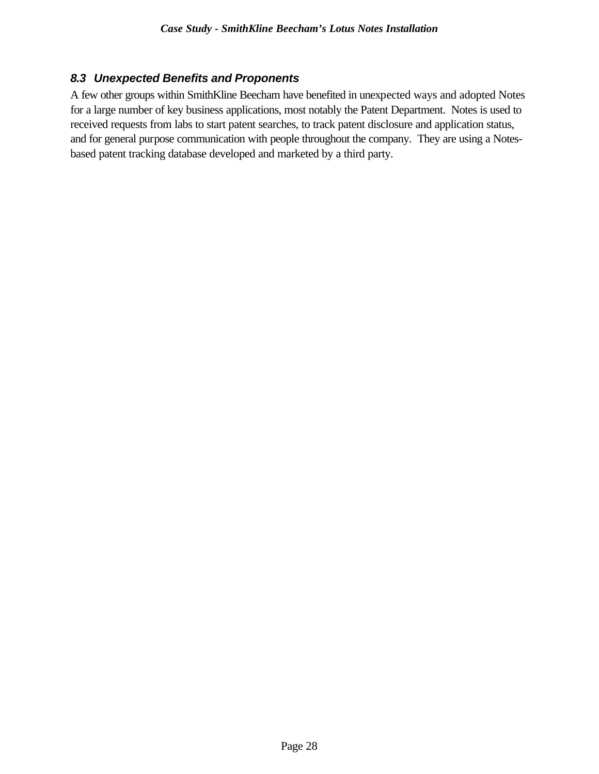#### *8.3 Unexpected Benefits and Proponents*

A few other groups within SmithKline Beecham have benefited in unexpected ways and adopted Notes for a large number of key business applications, most notably the Patent Department. Notes is used to received requests from labs to start patent searches, to track patent disclosure and application status, and for general purpose communication with people throughout the company. They are using a Notesbased patent tracking database developed and marketed by a third party.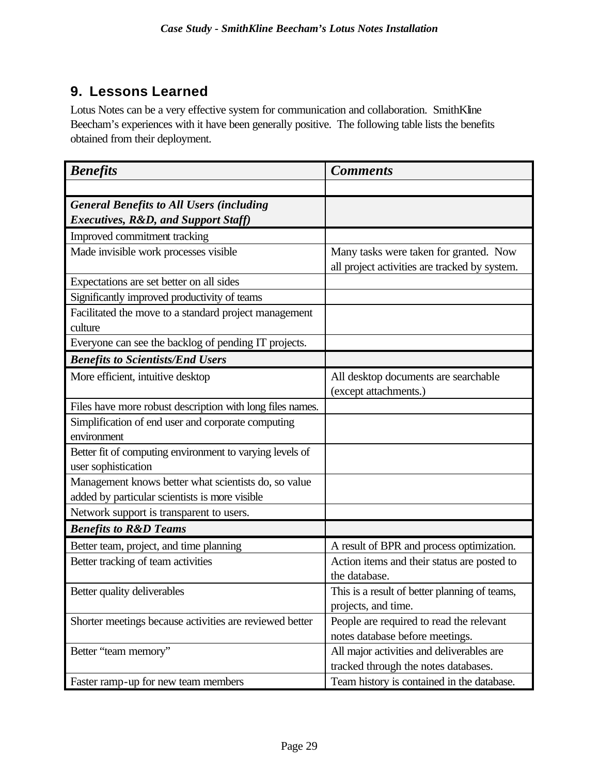## **9. Lessons Learned**

Lotus Notes can be a very effective system for communication and collaboration. SmithKline Beecham's experiences with it have been generally positive. The following table lists the benefits obtained from their deployment.

| <b>Benefits</b>                                                                                        | <b>Comments</b>                                                                         |
|--------------------------------------------------------------------------------------------------------|-----------------------------------------------------------------------------------------|
|                                                                                                        |                                                                                         |
| <b>General Benefits to All Users (including</b>                                                        |                                                                                         |
| <b>Executives, R&amp;D, and Support Staff)</b>                                                         |                                                                                         |
| Improved commitment tracking                                                                           |                                                                                         |
| Made invisible work processes visible                                                                  | Many tasks were taken for granted. Now<br>all project activities are tracked by system. |
| Expectations are set better on all sides                                                               |                                                                                         |
| Significantly improved productivity of teams                                                           |                                                                                         |
| Facilitated the move to a standard project management<br>culture                                       |                                                                                         |
| Everyone can see the backlog of pending IT projects.                                                   |                                                                                         |
| <b>Benefits to Scientists/End Users</b>                                                                |                                                                                         |
| More efficient, intuitive desktop                                                                      | All desktop documents are searchable<br>(except attachments.)                           |
| Files have more robust description with long files names.                                              |                                                                                         |
| Simplification of end user and corporate computing                                                     |                                                                                         |
| environment                                                                                            |                                                                                         |
| Better fit of computing environment to varying levels of<br>user sophistication                        |                                                                                         |
| Management knows better what scientists do, so value<br>added by particular scientists is more visible |                                                                                         |
| Network support is transparent to users.                                                               |                                                                                         |
| <b>Benefits to R&amp;D Teams</b>                                                                       |                                                                                         |
| Better team, project, and time planning                                                                | A result of BPR and process optimization.                                               |
| Better tracking of team activities                                                                     | Action items and their status are posted to<br>the database.                            |
| Better quality deliverables                                                                            | This is a result of better planning of teams,                                           |
|                                                                                                        | projects, and time.                                                                     |
| Shorter meetings because activities are reviewed better                                                | People are required to read the relevant                                                |
|                                                                                                        | notes database before meetings.                                                         |
| Better "team memory"                                                                                   | All major activities and deliverables are                                               |
|                                                                                                        | tracked through the notes databases.                                                    |
| Faster ramp-up for new team members                                                                    | Team history is contained in the database.                                              |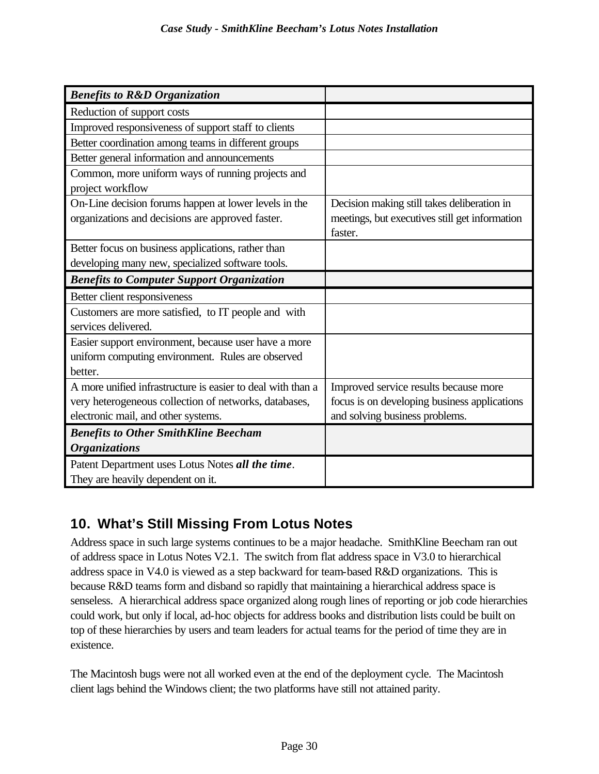| <b>Benefits to R&amp;D Organization</b>                     |                                                |
|-------------------------------------------------------------|------------------------------------------------|
| Reduction of support costs                                  |                                                |
| Improved responsiveness of support staff to clients         |                                                |
| Better coordination among teams in different groups         |                                                |
| Better general information and announcements                |                                                |
| Common, more uniform ways of running projects and           |                                                |
| project workflow                                            |                                                |
| On-Line decision forums happen at lower levels in the       | Decision making still takes deliberation in    |
| organizations and decisions are approved faster.            | meetings, but executives still get information |
|                                                             | faster.                                        |
| Better focus on business applications, rather than          |                                                |
| developing many new, specialized software tools.            |                                                |
| <b>Benefits to Computer Support Organization</b>            |                                                |
| Better client responsiveness                                |                                                |
|                                                             |                                                |
| Customers are more satisfied, to IT people and with         |                                                |
| services delivered.                                         |                                                |
| Easier support environment, because user have a more        |                                                |
| uniform computing environment. Rules are observed           |                                                |
| better.                                                     |                                                |
| A more unified infrastructure is easier to deal with than a | Improved service results because more          |
| very heterogeneous collection of networks, databases,       | focus is on developing business applications   |
| electronic mail, and other systems.                         | and solving business problems.                 |
| <b>Benefits to Other SmithKline Beecham</b>                 |                                                |
| <b>Organizations</b>                                        |                                                |
| Patent Department uses Lotus Notes all the time.            |                                                |

## **10. What's Still Missing From Lotus Notes**

Address space in such large systems continues to be a major headache. SmithKline Beecham ran out of address space in Lotus Notes V2.1. The switch from flat address space in V3.0 to hierarchical address space in V4.0 is viewed as a step backward for team-based R&D organizations. This is because R&D teams form and disband so rapidly that maintaining a hierarchical address space is senseless. A hierarchical address space organized along rough lines of reporting or job code hierarchies could work, but only if local, ad-hoc objects for address books and distribution lists could be built on top of these hierarchies by users and team leaders for actual teams for the period of time they are in existence.

The Macintosh bugs were not all worked even at the end of the deployment cycle. The Macintosh client lags behind the Windows client; the two platforms have still not attained parity.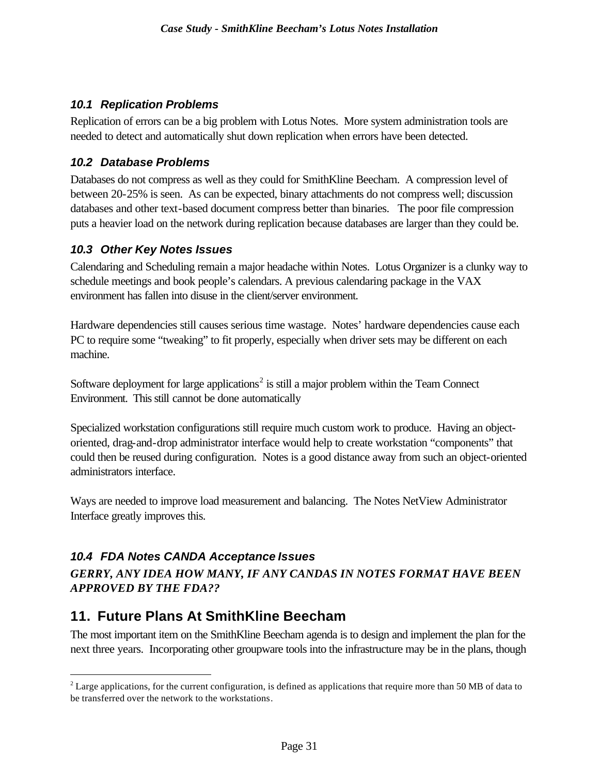#### *10.1 Replication Problems*

Replication of errors can be a big problem with Lotus Notes. More system administration tools are needed to detect and automatically shut down replication when errors have been detected.

#### *10.2 Database Problems*

Databases do not compress as well as they could for SmithKline Beecham. A compression level of between 20-25% is seen. As can be expected, binary attachments do not compress well; discussion databases and other text-based document compress better than binaries. The poor file compression puts a heavier load on the network during replication because databases are larger than they could be.

#### *10.3 Other Key Notes Issues*

Calendaring and Scheduling remain a major headache within Notes. Lotus Organizer is a clunky way to schedule meetings and book people's calendars. A previous calendaring package in the VAX environment has fallen into disuse in the client/server environment.

Hardware dependencies still causes serious time wastage. Notes' hardware dependencies cause each PC to require some "tweaking" to fit properly, especially when driver sets may be different on each machine.

Software deployment for large applications<sup>2</sup> is still a major problem within the Team Connect Environment. This still cannot be done automatically

Specialized workstation configurations still require much custom work to produce. Having an objectoriented, drag-and-drop administrator interface would help to create workstation "components" that could then be reused during configuration. Notes is a good distance away from such an object-oriented administrators interface.

Ways are needed to improve load measurement and balancing. The Notes NetView Administrator Interface greatly improves this.

### *10.4 FDA Notes CANDA Acceptance Issues*

 $\overline{a}$ 

*GERRY, ANY IDEA HOW MANY, IF ANY CANDAS IN NOTES FORMAT HAVE BEEN APPROVED BY THE FDA??*

## **11. Future Plans At SmithKline Beecham**

The most important item on the SmithKline Beecham agenda is to design and implement the plan for the next three years. Incorporating other groupware tools into the infrastructure may be in the plans, though

 $2^{2}$  Large applications, for the current configuration, is defined as applications that require more than 50 MB of data to be transferred over the network to the workstations.